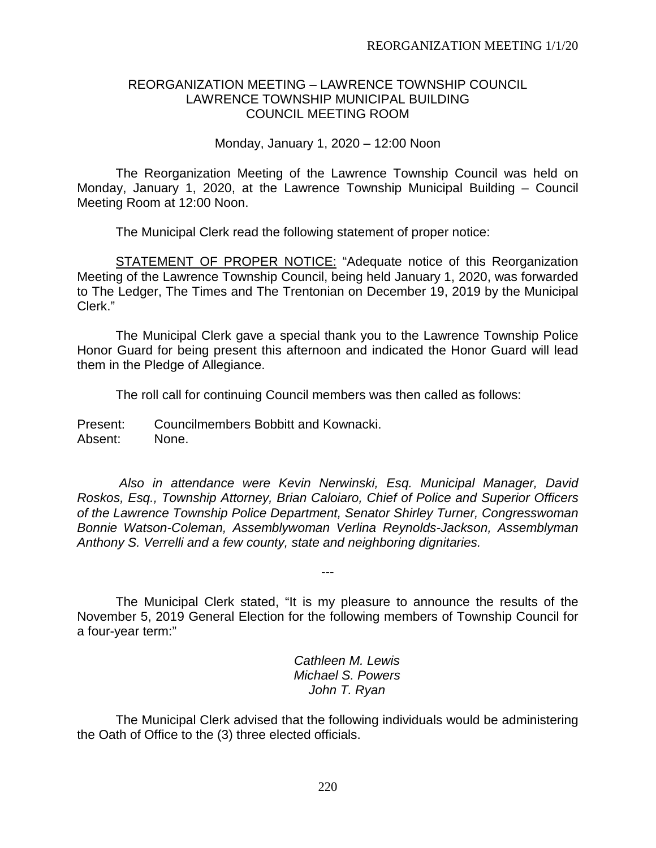### REORGANIZATION MEETING – LAWRENCE TOWNSHIP COUNCIL LAWRENCE TOWNSHIP MUNICIPAL BUILDING COUNCIL MEETING ROOM

Monday, January 1, 2020 – 12:00 Noon

The Reorganization Meeting of the Lawrence Township Council was held on Monday, January 1, 2020, at the Lawrence Township Municipal Building – Council Meeting Room at 12:00 Noon.

The Municipal Clerk read the following statement of proper notice:

STATEMENT OF PROPER NOTICE: "Adequate notice of this Reorganization Meeting of the Lawrence Township Council, being held January 1, 2020, was forwarded to The Ledger, The Times and The Trentonian on December 19, 2019 by the Municipal Clerk."

The Municipal Clerk gave a special thank you to the Lawrence Township Police Honor Guard for being present this afternoon and indicated the Honor Guard will lead them in the Pledge of Allegiance.

The roll call for continuing Council members was then called as follows:

Present: Councilmembers Bobbitt and Kownacki. Absent: None.

*Also in attendance were Kevin Nerwinski, Esq. Municipal Manager, David Roskos, Esq., Township Attorney, Brian Caloiaro, Chief of Police and Superior Officers of the Lawrence Township Police Department, Senator Shirley Turner, Congresswoman Bonnie Watson-Coleman, Assemblywoman Verlina Reynolds-Jackson, Assemblyman Anthony S. Verrelli and a few county, state and neighboring dignitaries.*

The Municipal Clerk stated, "It is my pleasure to announce the results of the November 5, 2019 General Election for the following members of Township Council for a four-year term:"

---

*Cathleen M. Lewis Michael S. Powers John T. Ryan*

The Municipal Clerk advised that the following individuals would be administering the Oath of Office to the (3) three elected officials.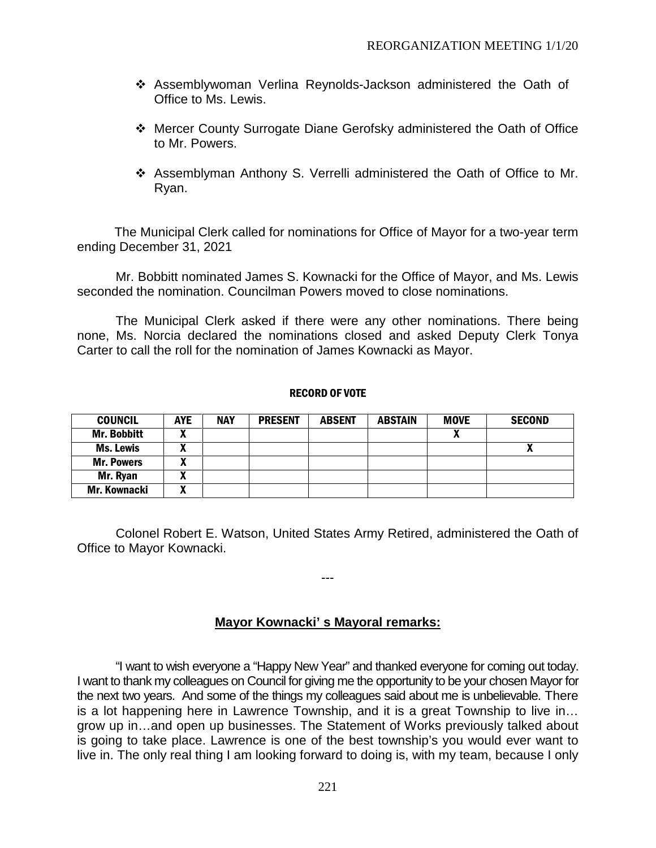- Assemblywoman Verlina Reynolds-Jackson administered the Oath of Office to Ms. Lewis.
- Mercer County Surrogate Diane Gerofsky administered the Oath of Office to Mr. Powers.
- Assemblyman Anthony S. Verrelli administered the Oath of Office to Mr. Ryan.

The Municipal Clerk called for nominations for Office of Mayor for a two-year term ending December 31, 2021

Mr. Bobbitt nominated James S. Kownacki for the Office of Mayor, and Ms. Lewis seconded the nomination. Councilman Powers moved to close nominations.

The Municipal Clerk asked if there were any other nominations. There being none, Ms. Norcia declared the nominations closed and asked Deputy Clerk Tonya Carter to call the roll for the nomination of James Kownacki as Mayor.

#### RECORD OF VOTE

| <b>COUNCIL</b>      | <b>AYE</b>   | <b>NAY</b> | <b>PRESENT</b> | <b>ABSENT</b> | <b>ABSTAIN</b> | <b>MOVE</b> | <b>SECOND</b>              |
|---------------------|--------------|------------|----------------|---------------|----------------|-------------|----------------------------|
| <b>Mr. Bobbitt</b>  | <br>Λ        |            |                |               |                |             |                            |
| Ms. Lewis           | $\mathbf{r}$ |            |                |               |                |             | $\boldsymbol{\mathcal{L}}$ |
| <b>Mr. Powers</b>   | A            |            |                |               |                |             |                            |
| Mr. Ryan            | Λ            |            |                |               |                |             |                            |
| <b>Mr. Kownacki</b> | Λ            |            |                |               |                |             |                            |

Colonel Robert E. Watson, United States Army Retired, administered the Oath of Office to Mayor Kownacki.

---

# **Mayor Kownacki' s Mayoral remarks:**

"I want to wish everyone a "Happy New Year" and thanked everyone for coming out today. I want to thank my colleagues on Council for giving me the opportunity to be your chosen Mayor for the next two years. And some of the things my colleagues said about me is unbelievable. There is a lot happening here in Lawrence Township, and it is a great Township to live in… grow up in…and open up businesses. The Statement of Works previously talked about is going to take place. Lawrence is one of the best township's you would ever want to live in. The only real thing I am looking forward to doing is, with my team, because I only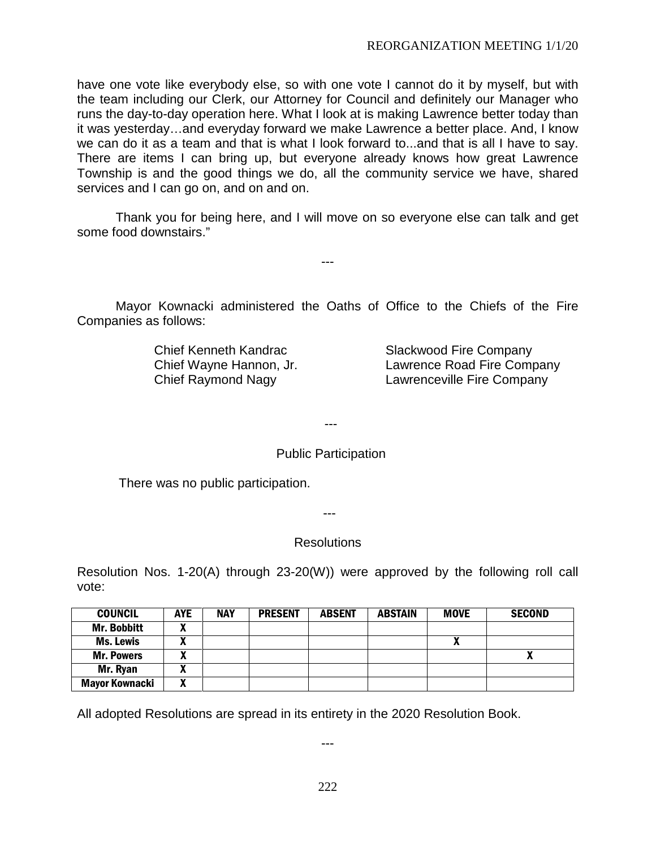have one vote like everybody else, so with one vote I cannot do it by myself, but with the team including our Clerk, our Attorney for Council and definitely our Manager who runs the day-to-day operation here. What I look at is making Lawrence better today than it was yesterday…and everyday forward we make Lawrence a better place. And, I know we can do it as a team and that is what I look forward to...and that is all I have to say. There are items I can bring up, but everyone already knows how great Lawrence Township is and the good things we do, all the community service we have, shared services and I can go on, and on and on.

Thank you for being here, and I will move on so everyone else can talk and get some food downstairs."

---

Mayor Kownacki administered the Oaths of Office to the Chiefs of the Fire Companies as follows:

Chief Kenneth Kandrac Slackwood Fire Company Chief Wayne Hannon, Jr. Lawrence Road Fire Company Chief Raymond Nagy Lawrenceville Fire Company

---

# Public Participation

There was no public participation.

---

#### **Resolutions**

Resolution Nos. 1-20(A) through 23-20(W)) were approved by the following roll call vote:

| <b>COUNCIL</b>        | <b>AYE</b> | <b>NAY</b> | <b>PRESENT</b> | <b>ABSENT</b> | <b>ABSTAIN</b> | <b>MOVE</b> | <b>SECOND</b> |
|-----------------------|------------|------------|----------------|---------------|----------------|-------------|---------------|
| <b>Mr. Bobbitt</b>    | л          |            |                |               |                |             |               |
| Ms. Lewis             | л          |            |                |               |                |             |               |
| <b>Mr. Powers</b>     | A          |            |                |               |                |             | ́             |
| Mr. Ryan              | v<br>"     |            |                |               |                |             |               |
| <b>Mayor Kownacki</b> | v<br>Λ     |            |                |               |                |             |               |

All adopted Resolutions are spread in its entirety in the 2020 Resolution Book.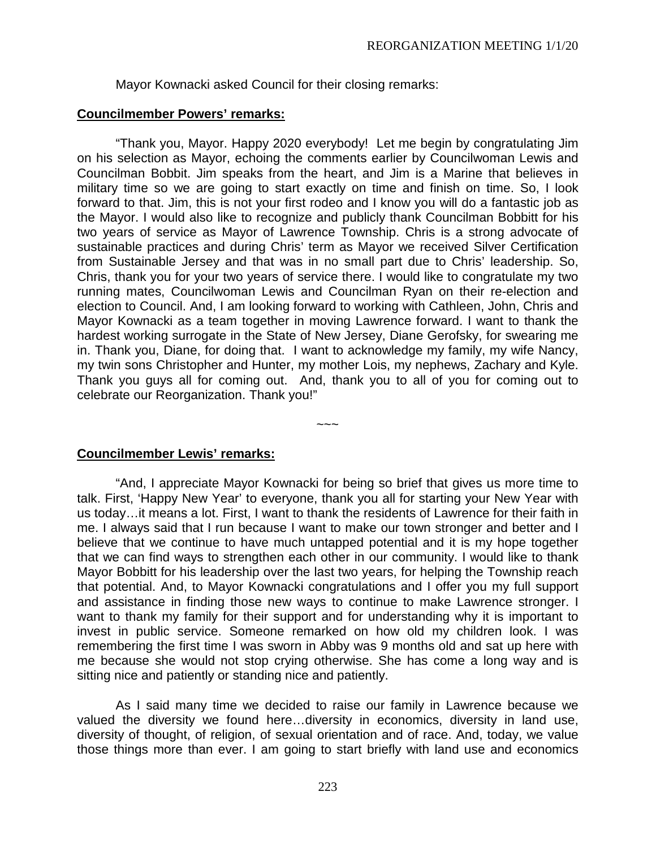Mayor Kownacki asked Council for their closing remarks:

# **Councilmember Powers' remarks:**

"Thank you, Mayor. Happy 2020 everybody! Let me begin by congratulating Jim on his selection as Mayor, echoing the comments earlier by Councilwoman Lewis and Councilman Bobbit. Jim speaks from the heart, and Jim is a Marine that believes in military time so we are going to start exactly on time and finish on time. So, I look forward to that. Jim, this is not your first rodeo and I know you will do a fantastic job as the Mayor. I would also like to recognize and publicly thank Councilman Bobbitt for his two years of service as Mayor of Lawrence Township. Chris is a strong advocate of sustainable practices and during Chris' term as Mayor we received Silver Certification from Sustainable Jersey and that was in no small part due to Chris' leadership. So, Chris, thank you for your two years of service there. I would like to congratulate my two running mates, Councilwoman Lewis and Councilman Ryan on their re-election and election to Council. And, I am looking forward to working with Cathleen, John, Chris and Mayor Kownacki as a team together in moving Lawrence forward. I want to thank the hardest working surrogate in the State of New Jersey, Diane Gerofsky, for swearing me in. Thank you, Diane, for doing that. I want to acknowledge my family, my wife Nancy, my twin sons Christopher and Hunter, my mother Lois, my nephews, Zachary and Kyle. Thank you guys all for coming out. And, thank you to all of you for coming out to celebrate our Reorganization. Thank you!"

**Councilmember Lewis' remarks:**

"And, I appreciate Mayor Kownacki for being so brief that gives us more time to talk. First, 'Happy New Year' to everyone, thank you all for starting your New Year with us today…it means a lot. First, I want to thank the residents of Lawrence for their faith in me. I always said that I run because I want to make our town stronger and better and I believe that we continue to have much untapped potential and it is my hope together that we can find ways to strengthen each other in our community. I would like to thank Mayor Bobbitt for his leadership over the last two years, for helping the Township reach that potential. And, to Mayor Kownacki congratulations and I offer you my full support and assistance in finding those new ways to continue to make Lawrence stronger. I want to thank my family for their support and for understanding why it is important to invest in public service. Someone remarked on how old my children look. I was remembering the first time I was sworn in Abby was 9 months old and sat up here with me because she would not stop crying otherwise. She has come a long way and is sitting nice and patiently or standing nice and patiently.

 $\sim\sim\sim$ 

As I said many time we decided to raise our family in Lawrence because we valued the diversity we found here…diversity in economics, diversity in land use, diversity of thought, of religion, of sexual orientation and of race. And, today, we value those things more than ever. I am going to start briefly with land use and economics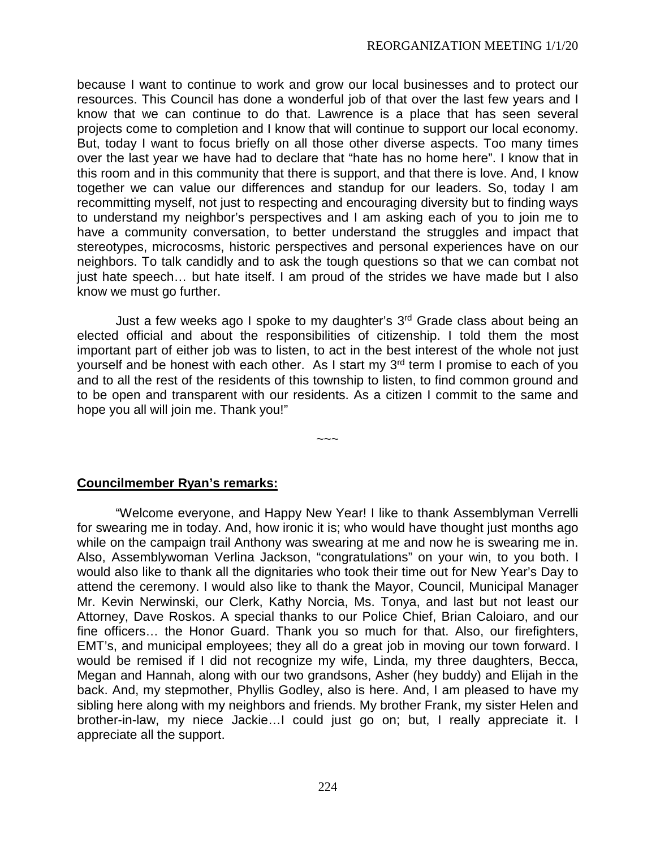because I want to continue to work and grow our local businesses and to protect our resources. This Council has done a wonderful job of that over the last few years and I know that we can continue to do that. Lawrence is a place that has seen several projects come to completion and I know that will continue to support our local economy. But, today I want to focus briefly on all those other diverse aspects. Too many times over the last year we have had to declare that "hate has no home here". I know that in this room and in this community that there is support, and that there is love. And, I know together we can value our differences and standup for our leaders. So, today I am recommitting myself, not just to respecting and encouraging diversity but to finding ways to understand my neighbor's perspectives and I am asking each of you to join me to have a community conversation, to better understand the struggles and impact that stereotypes, microcosms, historic perspectives and personal experiences have on our neighbors. To talk candidly and to ask the tough questions so that we can combat not just hate speech… but hate itself. I am proud of the strides we have made but I also know we must go further.

Just a few weeks ago I spoke to my daughter's 3<sup>rd</sup> Grade class about being an elected official and about the responsibilities of citizenship. I told them the most important part of either job was to listen, to act in the best interest of the whole not just yourself and be honest with each other. As I start my 3<sup>rd</sup> term I promise to each of you and to all the rest of the residents of this township to listen, to find common ground and to be open and transparent with our residents. As a citizen I commit to the same and hope you all will join me. Thank you!"

~~~

**Councilmember Ryan's remarks:**

"Welcome everyone, and Happy New Year! I like to thank Assemblyman Verrelli for swearing me in today. And, how ironic it is; who would have thought just months ago while on the campaign trail Anthony was swearing at me and now he is swearing me in. Also, Assemblywoman Verlina Jackson, "congratulations" on your win, to you both. I would also like to thank all the dignitaries who took their time out for New Year's Day to attend the ceremony. I would also like to thank the Mayor, Council, Municipal Manager Mr. Kevin Nerwinski, our Clerk, Kathy Norcia, Ms. Tonya, and last but not least our Attorney, Dave Roskos. A special thanks to our Police Chief, Brian Caloiaro, and our fine officers… the Honor Guard. Thank you so much for that. Also, our firefighters, EMT's, and municipal employees; they all do a great job in moving our town forward. I would be remised if I did not recognize my wife, Linda, my three daughters, Becca, Megan and Hannah, along with our two grandsons, Asher (hey buddy) and Elijah in the back. And, my stepmother, Phyllis Godley, also is here. And, I am pleased to have my sibling here along with my neighbors and friends. My brother Frank, my sister Helen and brother-in-law, my niece Jackie…I could just go on; but, I really appreciate it. I appreciate all the support.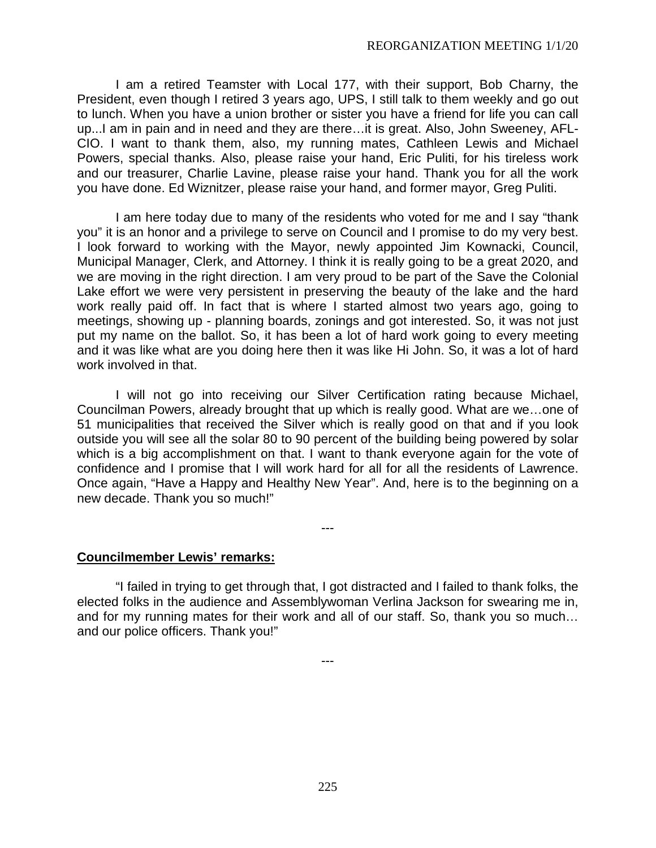I am a retired Teamster with Local 177, with their support, Bob Charny, the President, even though I retired 3 years ago, UPS, I still talk to them weekly and go out to lunch. When you have a union brother or sister you have a friend for life you can call up...I am in pain and in need and they are there…it is great. Also, John Sweeney, AFL-CIO. I want to thank them, also, my running mates, Cathleen Lewis and Michael Powers, special thanks. Also, please raise your hand, Eric Puliti, for his tireless work and our treasurer, Charlie Lavine, please raise your hand. Thank you for all the work you have done. Ed Wiznitzer, please raise your hand, and former mayor, Greg Puliti.

I am here today due to many of the residents who voted for me and I say "thank you" it is an honor and a privilege to serve on Council and I promise to do my very best. I look forward to working with the Mayor, newly appointed Jim Kownacki, Council, Municipal Manager, Clerk, and Attorney. I think it is really going to be a great 2020, and we are moving in the right direction. I am very proud to be part of the Save the Colonial Lake effort we were very persistent in preserving the beauty of the lake and the hard work really paid off. In fact that is where I started almost two years ago, going to meetings, showing up - planning boards, zonings and got interested. So, it was not just put my name on the ballot. So, it has been a lot of hard work going to every meeting and it was like what are you doing here then it was like Hi John. So, it was a lot of hard work involved in that.

I will not go into receiving our Silver Certification rating because Michael, Councilman Powers, already brought that up which is really good. What are we…one of 51 municipalities that received the Silver which is really good on that and if you look outside you will see all the solar 80 to 90 percent of the building being powered by solar which is a big accomplishment on that. I want to thank everyone again for the vote of confidence and I promise that I will work hard for all for all the residents of Lawrence. Once again, "Have a Happy and Healthy New Year". And, here is to the beginning on a new decade. Thank you so much!"

**Councilmember Lewis' remarks:**

"I failed in trying to get through that, I got distracted and I failed to thank folks, the elected folks in the audience and Assemblywoman Verlina Jackson for swearing me in, and for my running mates for their work and all of our staff. So, thank you so much… and our police officers. Thank you!"

---

---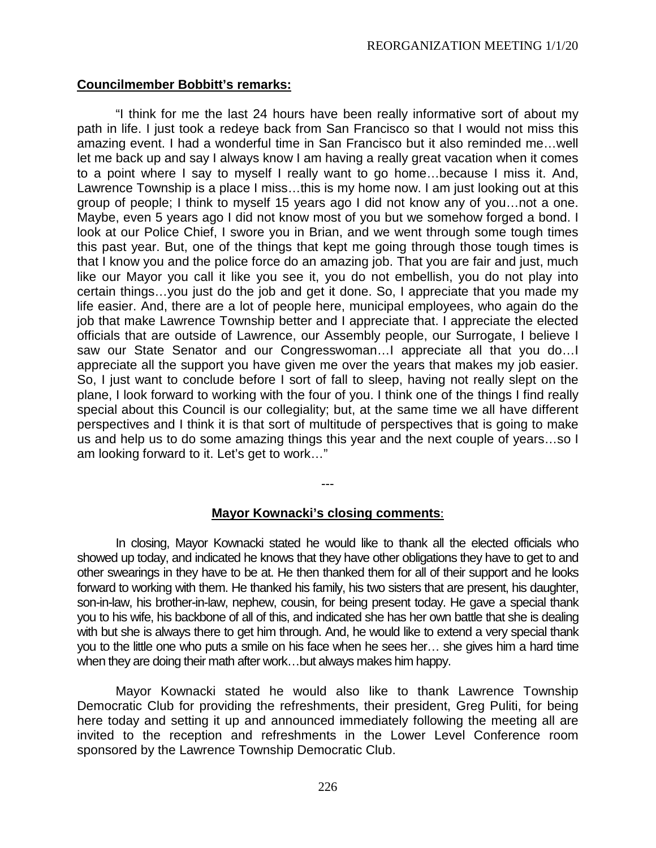### **Councilmember Bobbitt's remarks:**

"I think for me the last 24 hours have been really informative sort of about my path in life. I just took a redeye back from San Francisco so that I would not miss this amazing event. I had a wonderful time in San Francisco but it also reminded me…well let me back up and say I always know I am having a really great vacation when it comes to a point where I say to myself I really want to go home…because I miss it. And, Lawrence Township is a place I miss…this is my home now. I am just looking out at this group of people; I think to myself 15 years ago I did not know any of you…not a one. Maybe, even 5 years ago I did not know most of you but we somehow forged a bond. I look at our Police Chief, I swore you in Brian, and we went through some tough times this past year. But, one of the things that kept me going through those tough times is that I know you and the police force do an amazing job. That you are fair and just, much like our Mayor you call it like you see it, you do not embellish, you do not play into certain things…you just do the job and get it done. So, I appreciate that you made my life easier. And, there are a lot of people here, municipal employees, who again do the job that make Lawrence Township better and I appreciate that. I appreciate the elected officials that are outside of Lawrence, our Assembly people, our Surrogate, I believe I saw our State Senator and our Congresswoman…I appreciate all that you do…I appreciate all the support you have given me over the years that makes my job easier. So, I just want to conclude before I sort of fall to sleep, having not really slept on the plane, I look forward to working with the four of you. I think one of the things I find really special about this Council is our collegiality; but, at the same time we all have different perspectives and I think it is that sort of multitude of perspectives that is going to make us and help us to do some amazing things this year and the next couple of years…so I am looking forward to it. Let's get to work…"

#### **Mayor Kownacki's closing comments**:

---

In closing, Mayor Kownacki stated he would like to thank all the elected officials who showed up today, and indicated he knows that they have other obligations they have to get to and other swearings in they have to be at. He then thanked them for all of their support and he looks forward to working with them. He thanked his family, his two sisters that are present, his daughter, son-in-law, his brother-in-law, nephew, cousin, for being present today. He gave a special thank you to his wife, his backbone of all of this, and indicated she has her own battle that she is dealing with but she is always there to get him through. And, he would like to extend a very special thank you to the little one who puts a smile on his face when he sees her… she gives him a hard time when they are doing their math after work…but always makes him happy.

Mayor Kownacki stated he would also like to thank Lawrence Township Democratic Club for providing the refreshments, their president, Greg Puliti, for being here today and setting it up and announced immediately following the meeting all are invited to the reception and refreshments in the Lower Level Conference room sponsored by the Lawrence Township Democratic Club.